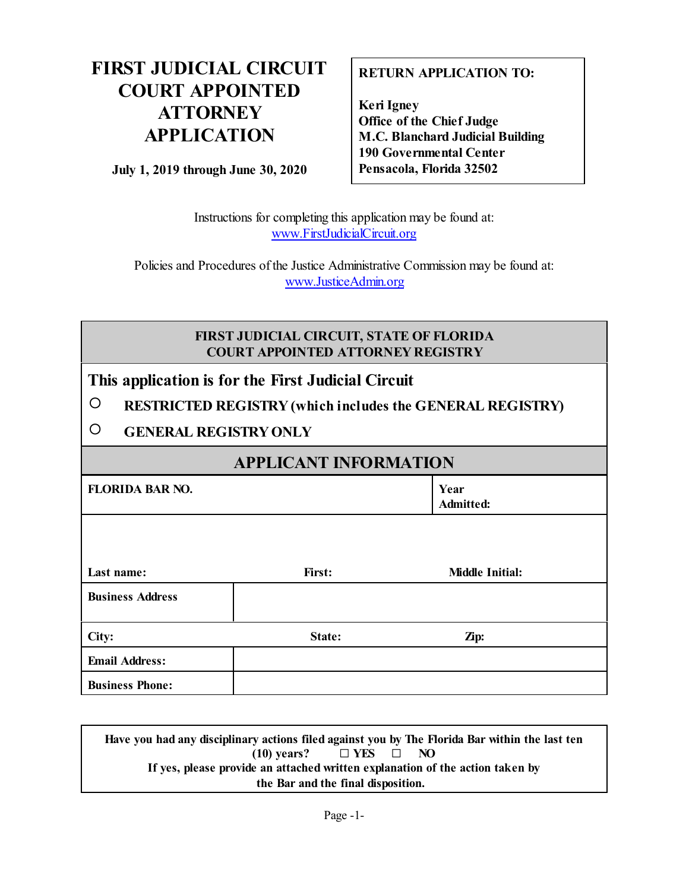## **FIRST JUDICIAL CIRCUIT COURT APPOINTED ATTORNEY APPLICATION**

**July 1, 2019 through June 30, 2020**

### **RETURN APPLICATION TO:**

**Keri Igney Office of the Chief Judge M.C. Blanchard Judicial Building 190 Governmental Center Pensacola, Florida 32502**

Instructions for completing this application may be found at: [www.FirstJudicialCircuit.org](http://www.FirstJudicialCircuit.org)

Policies and Procedures of the Justice Administrative Commission may be found at: [www.JusticeAdmin.org](http://www.JusticeAdmin.org)

### **FIRST JUDICIAL CIRCUIT, STATE OF FLORIDA COURT APPOINTED ATTORNEY REGISTRY**

### **This application is for the First Judicial Circuit**

| $\bigcirc$ | <b>RESTRICTED REGISTRY (which includes the GENERAL REGISTRY)</b> |
|------------|------------------------------------------------------------------|
|------------|------------------------------------------------------------------|

" **GENERAL REGISTRYONLY**

## **APPLICANT INFORMATION**

| <b>FLORIDA BAR NO.</b>  |        | Year<br>Admitted:      |  |
|-------------------------|--------|------------------------|--|
|                         |        |                        |  |
| Last name:              | First: | <b>Middle Initial:</b> |  |
| <b>Business Address</b> |        |                        |  |
| City:                   | State: | Zip:                   |  |
| <b>Email Address:</b>   |        |                        |  |
| <b>Business Phone:</b>  |        |                        |  |

**Have you had any disciplinary actions filed against you by The Florida Bar within the last ten**  $(10)$  **years?**  $\Box$  **YES**  $\Box$  **NO If yes, please provide an attached written explanation of the action taken by the Bar and the final disposition.**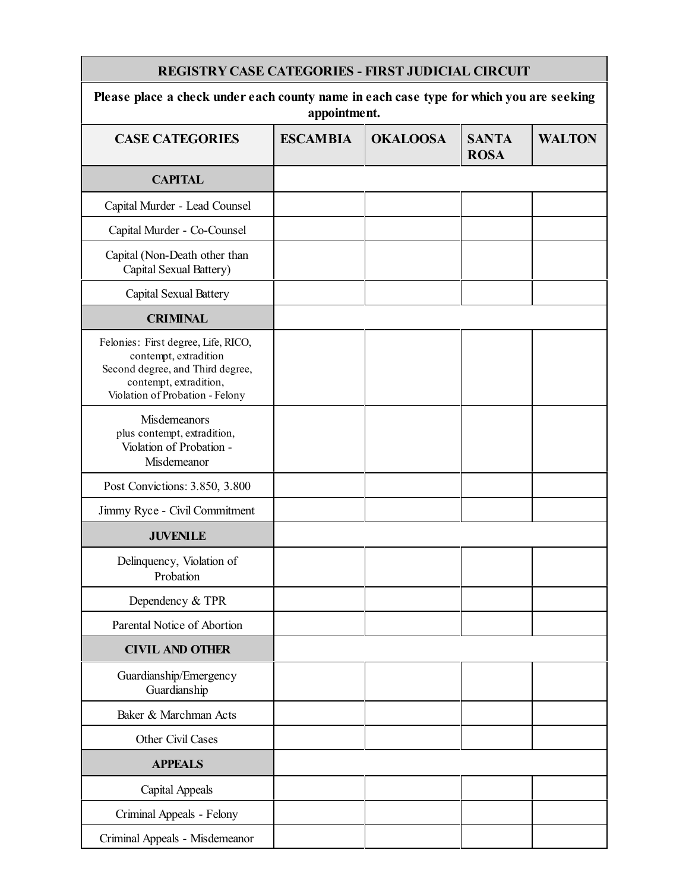| <b>REGISTRY CASE CATEGORIES - FIRST JUDICIAL CIRCUIT</b>                                                                                                      |                 |                 |                             |               |
|---------------------------------------------------------------------------------------------------------------------------------------------------------------|-----------------|-----------------|-----------------------------|---------------|
| Please place a check under each county name in each case type for which you are seeking<br>appointment.                                                       |                 |                 |                             |               |
| <b>CASE CATEGORIES</b>                                                                                                                                        | <b>ESCAMBIA</b> | <b>OKALOOSA</b> | <b>SANTA</b><br><b>ROSA</b> | <b>WALTON</b> |
| <b>CAPITAL</b>                                                                                                                                                |                 |                 |                             |               |
| Capital Murder - Lead Counsel                                                                                                                                 |                 |                 |                             |               |
| Capital Murder - Co-Counsel                                                                                                                                   |                 |                 |                             |               |
| Capital (Non-Death other than<br>Capital Sexual Battery)                                                                                                      |                 |                 |                             |               |
| Capital Sexual Battery                                                                                                                                        |                 |                 |                             |               |
| <b>CRIMINAL</b>                                                                                                                                               |                 |                 |                             |               |
| Felonies: First degree, Life, RICO,<br>contempt, extradition<br>Second degree, and Third degree,<br>contempt, extradition,<br>Violation of Probation - Felony |                 |                 |                             |               |
| Misdemeanors<br>plus contempt, extradition,<br>Violation of Probation -<br>Misdemeanor                                                                        |                 |                 |                             |               |
| Post Convictions: 3.850, 3.800                                                                                                                                |                 |                 |                             |               |
| Jimmy Ryce - Civil Commitment                                                                                                                                 |                 |                 |                             |               |
| <b>JUVENILE</b>                                                                                                                                               |                 |                 |                             |               |
| Delinquency, Violation of<br>Probation                                                                                                                        |                 |                 |                             |               |
| Dependency & TPR                                                                                                                                              |                 |                 |                             |               |
| Parental Notice of Abortion                                                                                                                                   |                 |                 |                             |               |
| <b>CIVIL AND OTHER</b>                                                                                                                                        |                 |                 |                             |               |
| Guardianship/Emergency<br>Guardianship                                                                                                                        |                 |                 |                             |               |
| Baker & Marchman Acts                                                                                                                                         |                 |                 |                             |               |
| Other Civil Cases                                                                                                                                             |                 |                 |                             |               |
| <b>APPEALS</b>                                                                                                                                                |                 |                 |                             |               |
| <b>Capital Appeals</b>                                                                                                                                        |                 |                 |                             |               |
| Criminal Appeals - Felony                                                                                                                                     |                 |                 |                             |               |
| Criminal Appeals - Misdemeanor                                                                                                                                |                 |                 |                             |               |

**Contract Contract Contract**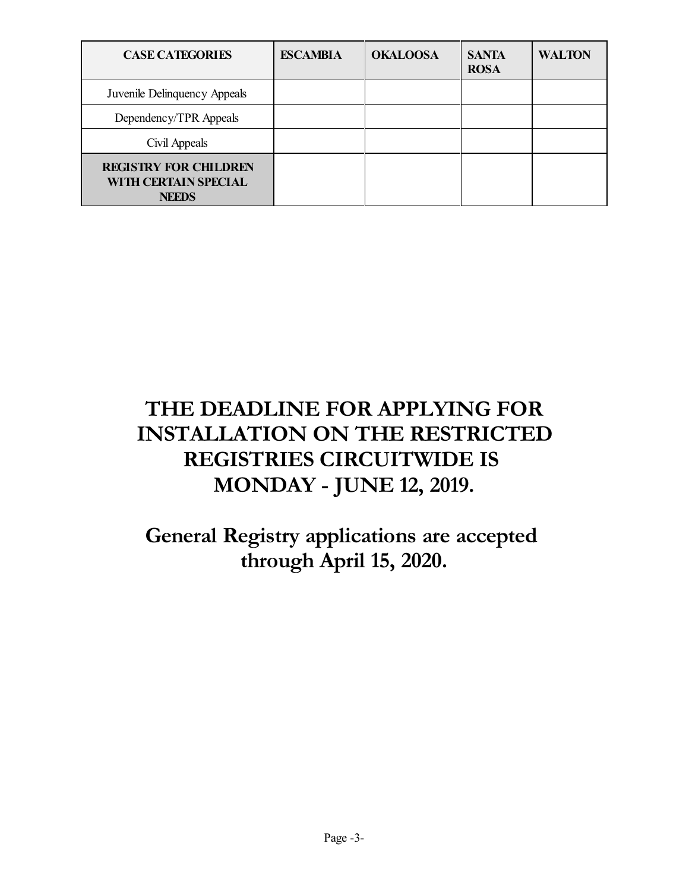| <b>CASE CATEGORIES</b>                                               | <b>ESCAMBIA</b> | <b>OKALOOSA</b> | <b>SANTA</b><br><b>ROSA</b> | <b>WALTON</b> |
|----------------------------------------------------------------------|-----------------|-----------------|-----------------------------|---------------|
| Juvenile Delinquency Appeals                                         |                 |                 |                             |               |
| Dependency/TPR Appeals                                               |                 |                 |                             |               |
| Civil Appeals                                                        |                 |                 |                             |               |
| <b>REGISTRY FOR CHILDREN</b><br>WITH CERTAIN SPECIAL<br><b>NEEDS</b> |                 |                 |                             |               |

# **THE DEADLINE FOR APPLYING FOR INSTALLATION ON THE RESTRICTED REGISTRIES CIRCUITWIDE IS MONDAY - JUNE 12, 2019.**

## **General Registry applications are accepted through April 15, 2020.**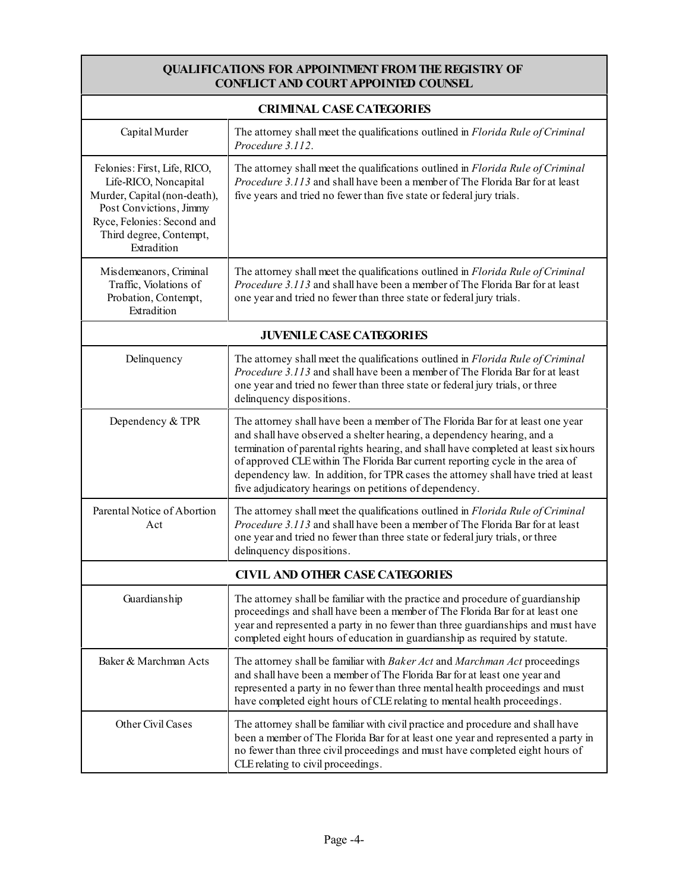#### **QUALIFICATIONS FOR APPOINTMENTFROMTHE REGISTRY OF CONFLICT AND COURT APPOINTED COUNSEL**

| <b>CRIMINAL CASE CATEGORIES</b>                                                                                                                                                          |                                                                                                                                                                                                                                                                                                                                                                                                                                                                                 |  |  |
|------------------------------------------------------------------------------------------------------------------------------------------------------------------------------------------|---------------------------------------------------------------------------------------------------------------------------------------------------------------------------------------------------------------------------------------------------------------------------------------------------------------------------------------------------------------------------------------------------------------------------------------------------------------------------------|--|--|
| Capital Murder                                                                                                                                                                           | The attorney shall meet the qualifications outlined in Florida Rule of Criminal<br>Procedure 3.112.                                                                                                                                                                                                                                                                                                                                                                             |  |  |
| Felonies: First, Life, RICO,<br>Life-RICO, Noncapital<br>Murder, Capital (non-death),<br>Post Convictions, Jimmy<br>Ryce, Felonies: Second and<br>Third degree, Contempt,<br>Extradition | The attorney shall meet the qualifications outlined in Florida Rule of Criminal<br>Procedure 3.113 and shall have been a member of The Florida Bar for at least<br>five years and tried no fewer than five state or federal jury trials.                                                                                                                                                                                                                                        |  |  |
| Misdemeanors, Criminal<br>Traffic, Violations of<br>Probation, Contempt,<br>Extradition                                                                                                  | The attorney shall meet the qualifications outlined in Florida Rule of Criminal<br>Procedure 3.113 and shall have been a member of The Florida Bar for at least<br>one year and tried no fewer than three state or federal jury trials.                                                                                                                                                                                                                                         |  |  |
| <b>JUVENILE CASE CATEGORIES</b>                                                                                                                                                          |                                                                                                                                                                                                                                                                                                                                                                                                                                                                                 |  |  |
| Delinquency                                                                                                                                                                              | The attorney shall meet the qualifications outlined in Florida Rule of Criminal<br>Procedure 3.113 and shall have been a member of The Florida Bar for at least<br>one year and tried no fewer than three state or federal jury trials, or three<br>delinquency dispositions.                                                                                                                                                                                                   |  |  |
| Dependency & TPR                                                                                                                                                                         | The attorney shall have been a member of The Florida Bar for at least one year<br>and shall have observed a shelter hearing, a dependency hearing, and a<br>termination of parental rights hearing, and shall have completed at least six hours<br>of approved CLE within The Florida Bar current reporting cycle in the area of<br>dependency law. In addition, for TPR cases the attorney shall have tried at least<br>five adjudicatory hearings on petitions of dependency. |  |  |
| Parental Notice of Abortion<br>Act                                                                                                                                                       | The attorney shall meet the qualifications outlined in Florida Rule of Criminal<br><i>Procedure 3.113</i> and shall have been a member of The Florida Bar for at least<br>one year and tried no fewer than three state or federal jury trials, or three<br>delinquency dispositions.                                                                                                                                                                                            |  |  |
|                                                                                                                                                                                          | <b>CIVIL AND OTHER CASE CATEGORIES</b>                                                                                                                                                                                                                                                                                                                                                                                                                                          |  |  |
| Guardianship                                                                                                                                                                             | The attorney shall be familiar with the practice and procedure of guardianship<br>proceedings and shall have been a member of The Florida Bar for at least one<br>year and represented a party in no fewer than three guardianships and must have<br>completed eight hours of education in guardianship as required by statute.                                                                                                                                                 |  |  |
| Baker & Marchman Acts                                                                                                                                                                    | The attorney shall be familiar with Baker Act and Marchman Act proceedings<br>and shall have been a member of The Florida Bar for at least one year and<br>represented a party in no fewer than three mental health proceedings and must<br>have completed eight hours of CLE relating to mental health proceedings.                                                                                                                                                            |  |  |
| Other Civil Cases                                                                                                                                                                        | The attorney shall be familiar with civil practice and procedure and shall have<br>been a member of The Florida Bar for at least one year and represented a party in<br>no fewer than three civil proceedings and must have completed eight hours of<br>CLE relating to civil proceedings.                                                                                                                                                                                      |  |  |